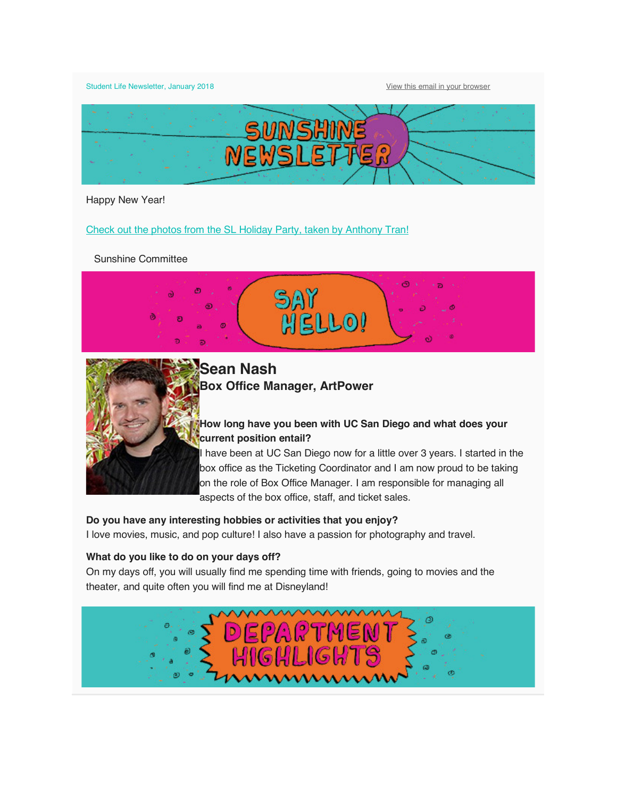Student Life Newsletter, January 2018 **View this email in your browser** 



Happy New Year!

Check out the photos from the SL Holiday Party, taken by Anthony Tran!

Sunshine Committee





**Sean Nash Box Office Manager, ArtPower**

# **How long have you been with UC San Diego and what does your current position entail?**

I have been at UC San Diego now for a little over 3 years. I started in the box office as the Ticketing Coordinator and I am now proud to be taking on the role of Box Office Manager. I am responsible for managing all aspects of the box office, staff, and ticket sales.

**Do you have any interesting hobbies or activities that you enjoy?**

I love movies, music, and pop culture! I also have a passion for photography and travel.

## **What do you like to do on your days off?**

On my days off, you will usually find me spending time with friends, going to movies and the theater, and quite often you will find me at Disneyland!

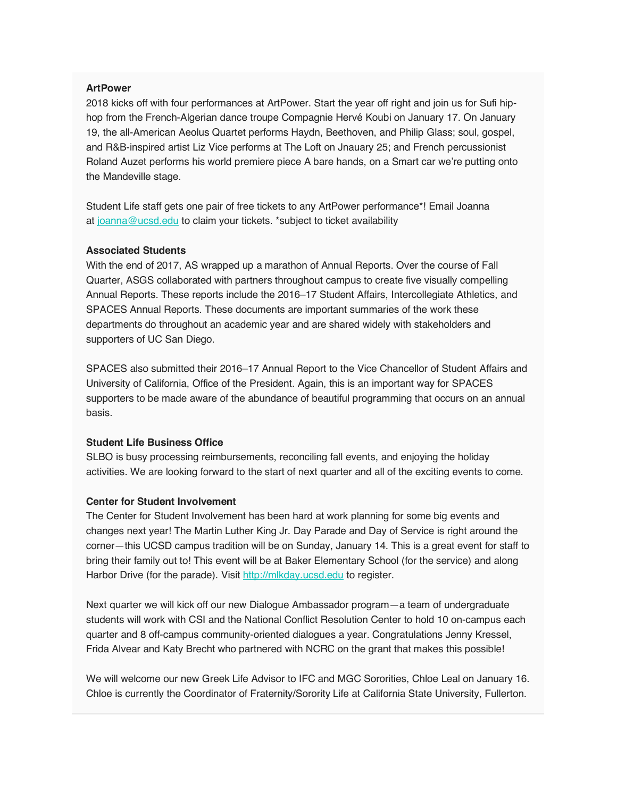#### **ArtPower**

2018 kicks off with four performances at ArtPower. Start the year off right and join us for Sufi hiphop from the French-Algerian dance troupe Compagnie Hervé Koubi on January 17. On January 19, the all-American Aeolus Quartet performs Haydn, Beethoven, and Philip Glass; soul, gospel, and R&B-inspired artist Liz Vice performs at The Loft on Jnauary 25; and French percussionist Roland Auzet performs his world premiere piece A bare hands, on a Smart car we're putting onto the Mandeville stage.

Student Life staff gets one pair of free tickets to any ArtPower performance\*! Email Joanna at joanna@ucsd.edu to claim your tickets. \*subject to ticket availability

#### **Associated Students**

With the end of 2017, AS wrapped up a marathon of Annual Reports. Over the course of Fall Quarter, ASGS collaborated with partners throughout campus to create five visually compelling Annual Reports. These reports include the 2016–17 Student Affairs, Intercollegiate Athletics, and SPACES Annual Reports. These documents are important summaries of the work these departments do throughout an academic year and are shared widely with stakeholders and supporters of UC San Diego.

SPACES also submitted their 2016–17 Annual Report to the Vice Chancellor of Student Affairs and University of California, Office of the President. Again, this is an important way for SPACES supporters to be made aware of the abundance of beautiful programming that occurs on an annual basis.

### **Student Life Business Office**

SLBO is busy processing reimbursements, reconciling fall events, and enjoying the holiday activities. We are looking forward to the start of next quarter and all of the exciting events to come.

### **Center for Student Involvement**

The Center for Student Involvement has been hard at work planning for some big events and changes next year! The Martin Luther King Jr. Day Parade and Day of Service is right around the corner—this UCSD campus tradition will be on Sunday, January 14. This is a great event for staff to bring their family out to! This event will be at Baker Elementary School (for the service) and along Harbor Drive (for the parade). Visit http://mlkday.ucsd.edu to register.

Next quarter we will kick off our new Dialogue Ambassador program—a team of undergraduate students will work with CSI and the National Conflict Resolution Center to hold 10 on-campus each quarter and 8 off-campus community-oriented dialogues a year. Congratulations Jenny Kressel, Frida Alvear and Katy Brecht who partnered with NCRC on the grant that makes this possible!

We will welcome our new Greek Life Advisor to IFC and MGC Sororities, Chloe Leal on January 16. Chloe is currently the Coordinator of Fraternity/Sorority Life at California State University, Fullerton.